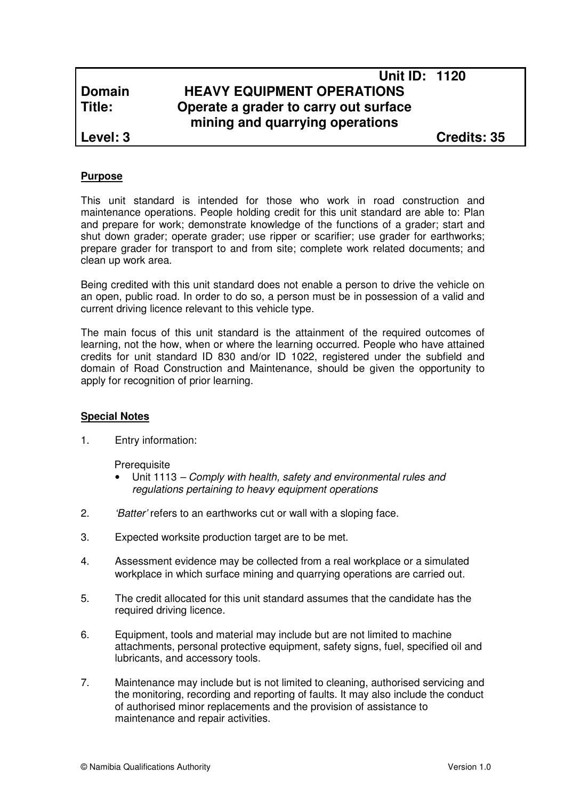# **Unit ID: 1120 Domain HEAVY EQUIPMENT OPERATIONS Title: Operate a grader to carry out surface mining and quarrying operations**

**Level: 3 Credits: 35**

# **Purpose**

This unit standard is intended for those who work in road construction and maintenance operations. People holding credit for this unit standard are able to: Plan and prepare for work; demonstrate knowledge of the functions of a grader; start and shut down grader; operate grader; use ripper or scarifier; use grader for earthworks; prepare grader for transport to and from site; complete work related documents; and clean up work area.

Being credited with this unit standard does not enable a person to drive the vehicle on an open, public road. In order to do so, a person must be in possession of a valid and current driving licence relevant to this vehicle type.

The main focus of this unit standard is the attainment of the required outcomes of learning, not the how, when or where the learning occurred. People who have attained credits for unit standard ID 830 and/or ID 1022, registered under the subfield and domain of Road Construction and Maintenance, should be given the opportunity to apply for recognition of prior learning.

# **Special Notes**

1. Entry information:

**Prerequisite** 

- Unit 1113 Comply with health, safety and environmental rules and regulations pertaining to heavy equipment operations
- 2. *'Batter'* refers to an earthworks cut or wall with a sloping face.
- 3. Expected worksite production target are to be met.
- 4. Assessment evidence may be collected from a real workplace or a simulated workplace in which surface mining and quarrying operations are carried out.
- 5. The credit allocated for this unit standard assumes that the candidate has the required driving licence.
- 6. Equipment, tools and material may include but are not limited to machine attachments, personal protective equipment, safety signs, fuel, specified oil and lubricants, and accessory tools.
- 7. Maintenance may include but is not limited to cleaning, authorised servicing and the monitoring, recording and reporting of faults. It may also include the conduct of authorised minor replacements and the provision of assistance to maintenance and repair activities.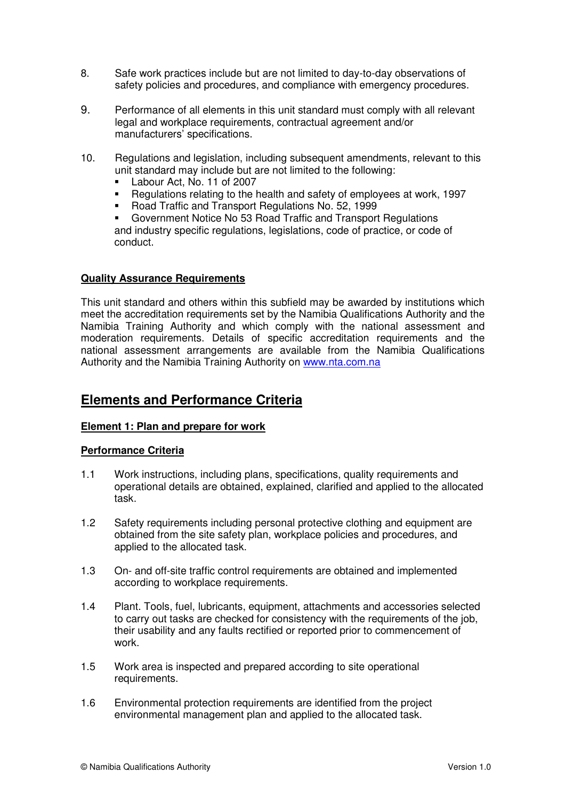- 8. Safe work practices include but are not limited to day-to-day observations of safety policies and procedures, and compliance with emergency procedures.
- 9. Performance of all elements in this unit standard must comply with all relevant legal and workplace requirements, contractual agreement and/or manufacturers' specifications.
- 10. Regulations and legislation, including subsequent amendments, relevant to this unit standard may include but are not limited to the following:
	- Labour Act, No. 11 of 2007
	- Regulations relating to the health and safety of employees at work, 1997
	- Road Traffic and Transport Regulations No. 52, 1999

 Government Notice No 53 Road Traffic and Transport Regulations and industry specific regulations, legislations, code of practice, or code of conduct.

# **Quality Assurance Requirements**

This unit standard and others within this subfield may be awarded by institutions which meet the accreditation requirements set by the Namibia Qualifications Authority and the Namibia Training Authority and which comply with the national assessment and moderation requirements. Details of specific accreditation requirements and the national assessment arrangements are available from the Namibia Qualifications Authority and the Namibia Training Authority on www.nta.com.na

# **Elements and Performance Criteria**

# **Element 1: Plan and prepare for work**

# **Performance Criteria**

- 1.1 Work instructions, including plans, specifications, quality requirements and operational details are obtained, explained, clarified and applied to the allocated task.
- 1.2 Safety requirements including personal protective clothing and equipment are obtained from the site safety plan, workplace policies and procedures, and applied to the allocated task.
- 1.3 On- and off-site traffic control requirements are obtained and implemented according to workplace requirements.
- 1.4 Plant. Tools, fuel, lubricants, equipment, attachments and accessories selected to carry out tasks are checked for consistency with the requirements of the job, their usability and any faults rectified or reported prior to commencement of work.
- 1.5 Work area is inspected and prepared according to site operational requirements.
- 1.6 Environmental protection requirements are identified from the project environmental management plan and applied to the allocated task.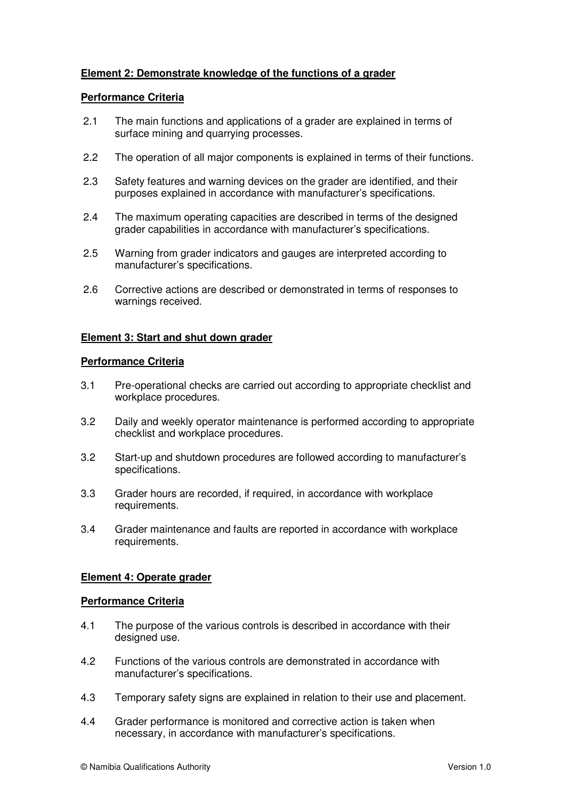# **Element 2: Demonstrate knowledge of the functions of a grader**

# **Performance Criteria**

- 2.1 The main functions and applications of a grader are explained in terms of surface mining and quarrying processes.
- 2.2 The operation of all major components is explained in terms of their functions.
- 2.3 Safety features and warning devices on the grader are identified, and their purposes explained in accordance with manufacturer's specifications.
- 2.4 The maximum operating capacities are described in terms of the designed grader capabilities in accordance with manufacturer's specifications.
- 2.5 Warning from grader indicators and gauges are interpreted according to manufacturer's specifications.
- 2.6 Corrective actions are described or demonstrated in terms of responses to warnings received.

# **Element 3: Start and shut down grader**

# **Performance Criteria**

- 3.1 Pre-operational checks are carried out according to appropriate checklist and workplace procedures.
- 3.2 Daily and weekly operator maintenance is performed according to appropriate checklist and workplace procedures.
- 3.2 Start-up and shutdown procedures are followed according to manufacturer's specifications.
- 3.3 Grader hours are recorded, if required, in accordance with workplace requirements.
- 3.4 Grader maintenance and faults are reported in accordance with workplace requirements.

# **Element 4: Operate grader**

# **Performance Criteria**

- 4.1 The purpose of the various controls is described in accordance with their designed use.
- 4.2 Functions of the various controls are demonstrated in accordance with manufacturer's specifications.
- 4.3 Temporary safety signs are explained in relation to their use and placement.
- 4.4 Grader performance is monitored and corrective action is taken when necessary, in accordance with manufacturer's specifications.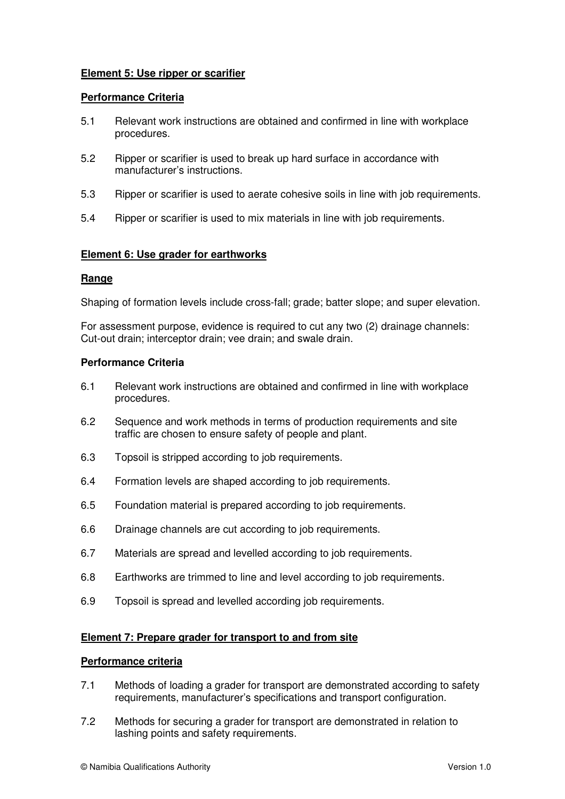# **Element 5: Use ripper or scarifier**

### **Performance Criteria**

- 5.1 Relevant work instructions are obtained and confirmed in line with workplace procedures.
- 5.2 Ripper or scarifier is used to break up hard surface in accordance with manufacturer's instructions.
- 5.3 Ripper or scarifier is used to aerate cohesive soils in line with job requirements.
- 5.4 Ripper or scarifier is used to mix materials in line with job requirements.

### **Element 6: Use grader for earthworks**

#### **Range**

Shaping of formation levels include cross-fall; grade; batter slope; and super elevation.

For assessment purpose, evidence is required to cut any two (2) drainage channels: Cut-out drain; interceptor drain; vee drain; and swale drain.

### **Performance Criteria**

- 6.1 Relevant work instructions are obtained and confirmed in line with workplace procedures.
- 6.2 Sequence and work methods in terms of production requirements and site traffic are chosen to ensure safety of people and plant.
- 6.3 Topsoil is stripped according to job requirements.
- 6.4 Formation levels are shaped according to job requirements.
- 6.5 Foundation material is prepared according to job requirements.
- 6.6 Drainage channels are cut according to job requirements.
- 6.7 Materials are spread and levelled according to job requirements.
- 6.8 Earthworks are trimmed to line and level according to job requirements.
- 6.9 Topsoil is spread and levelled according job requirements.

#### **Element 7: Prepare grader for transport to and from site**

#### **Performance criteria**

- 7.1 Methods of loading a grader for transport are demonstrated according to safety requirements, manufacturer's specifications and transport configuration.
- 7.2 Methods for securing a grader for transport are demonstrated in relation to lashing points and safety requirements.